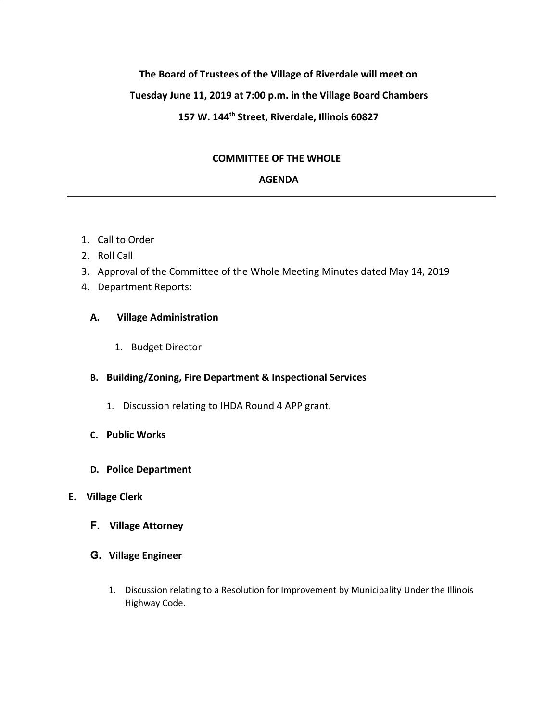## **The Board of Trustees of the Village of Riverdale will meet on**

## **Tuesday June 11, 2019 at 7:00 p.m. in the Village Board Chambers**

# **157 W. 144th Street, Riverdale, Illinois 60827**

### **COMMITTEE OF THE WHOLE**

## **AGENDA**

- 1. Call to Order
- 2. Roll Call
- 3. Approval of the Committee of the Whole Meeting Minutes dated May 14, 2019
- 4. Department Reports:

#### **A. Village Administration**

1. Budget Director

### **B. Building/Zoning, Fire Department & Inspectional Services**

- 1. Discussion relating to IHDA Round 4 APP grant.
- **C. Public Works**
- **D. Police Department**

## **E. Village Clerk**

- **F. Village Attorney**
- **G. Village Engineer**
	- 1. Discussion relating to a Resolution for Improvement by Municipality Under the Illinois Highway Code.